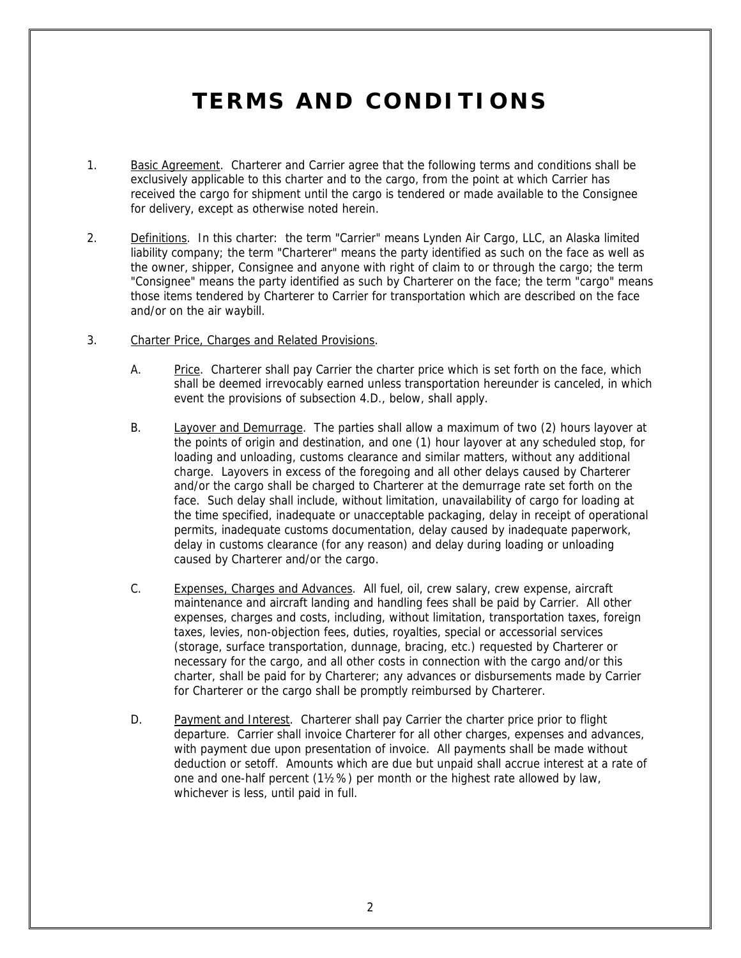## **TERMS AND CONDITIONS**

- 1. Basic Agreement. Charterer and Carrier agree that the following terms and conditions shall be exclusively applicable to this charter and to the cargo, from the point at which Carrier has received the cargo for shipment until the cargo is tendered or made available to the Consignee for delivery, except as otherwise noted herein.
- 2. Definitions. In this charter: the term "Carrier" means Lynden Air Cargo, LLC, an Alaska limited liability company; the term "Charterer" means the party identified as such on the face as well as the owner, shipper, Consignee and anyone with right of claim to or through the cargo; the term "Consignee" means the party identified as such by Charterer on the face; the term "cargo" means those items tendered by Charterer to Carrier for transportation which are described on the face and/or on the air waybill.
- 3. Charter Price, Charges and Related Provisions.
	- A. Price. Charterer shall pay Carrier the charter price which is set forth on the face, which shall be deemed irrevocably earned unless transportation hereunder is canceled, in which event the provisions of subsection 4.D., below, shall apply.
	- B. Layover and Demurrage. The parties shall allow a maximum of two (2) hours layover at the points of origin and destination, and one (1) hour layover at any scheduled stop, for loading and unloading, customs clearance and similar matters, without any additional charge. Layovers in excess of the foregoing and all other delays caused by Charterer and/or the cargo shall be charged to Charterer at the demurrage rate set forth on the face. Such delay shall include, without limitation, unavailability of cargo for loading at the time specified, inadequate or unacceptable packaging, delay in receipt of operational permits, inadequate customs documentation, delay caused by inadequate paperwork, delay in customs clearance (for any reason) and delay during loading or unloading caused by Charterer and/or the cargo.
	- C. Expenses, Charges and Advances. All fuel, oil, crew salary, crew expense, aircraft maintenance and aircraft landing and handling fees shall be paid by Carrier. All other expenses, charges and costs, including, without limitation, transportation taxes, foreign taxes, levies, non-objection fees, duties, royalties, special or accessorial services (storage, surface transportation, dunnage, bracing, etc.) requested by Charterer or necessary for the cargo, and all other costs in connection with the cargo and/or this charter, shall be paid for by Charterer; any advances or disbursements made by Carrier for Charterer or the cargo shall be promptly reimbursed by Charterer.
	- D. Payment and Interest. Charterer shall pay Carrier the charter price prior to flight departure. Carrier shall invoice Charterer for all other charges, expenses and advances, with payment due upon presentation of invoice. All payments shall be made without deduction or setoff. Amounts which are due but unpaid shall accrue interest at a rate of one and one-half percent (1½%) per month or the highest rate allowed by law, whichever is less, until paid in full.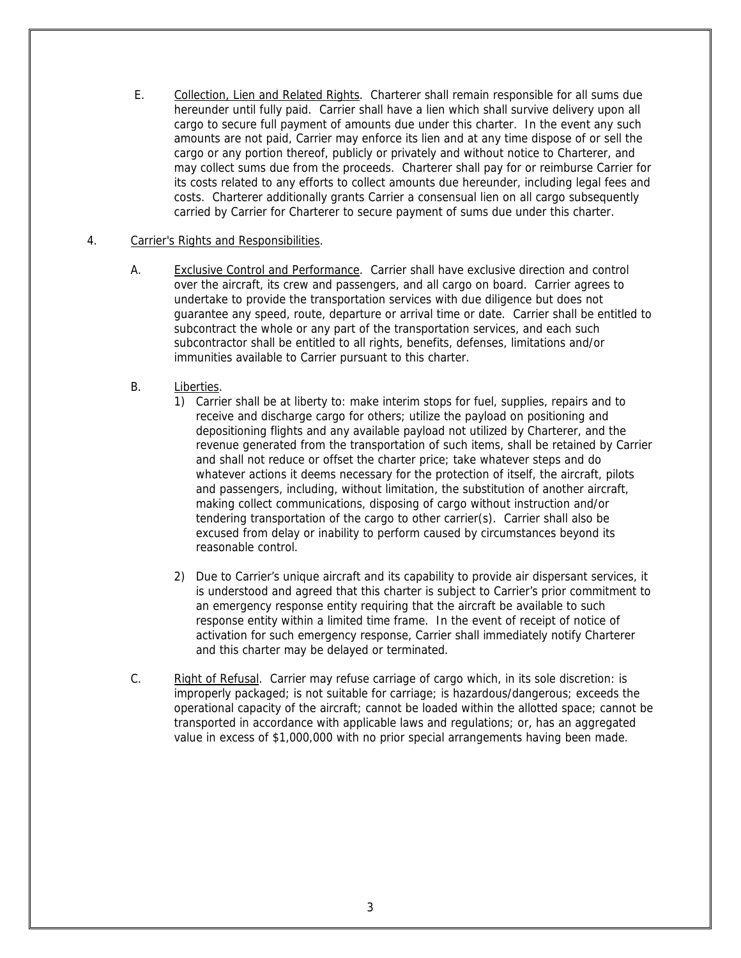E. Collection, Lien and Related Rights. Charterer shall remain responsible for all sums due hereunder until fully paid. Carrier shall have a lien which shall survive delivery upon all cargo to secure full payment of amounts due under this charter. In the event any such amounts are not paid, Carrier may enforce its lien and at any time dispose of or sell the cargo or any portion thereof, publicly or privately and without notice to Charterer, and may collect sums due from the proceeds. Charterer shall pay for or reimburse Carrier for its costs related to any efforts to collect amounts due hereunder, including legal fees and costs. Charterer additionally grants Carrier a consensual lien on all cargo subsequently carried by Carrier for Charterer to secure payment of sums due under this charter.

## 4. Carrier's Rights and Responsibilities.

- A. Exclusive Control and Performance. Carrier shall have exclusive direction and control over the aircraft, its crew and passengers, and all cargo on board. Carrier agrees to undertake to provide the transportation services with due diligence but does not guarantee any speed, route, departure or arrival time or date. Carrier shall be entitled to subcontract the whole or any part of the transportation services, and each such subcontractor shall be entitled to all rights, benefits, defenses, limitations and/or immunities available to Carrier pursuant to this charter.
- B. Liberties.
	- 1) Carrier shall be at liberty to: make interim stops for fuel, supplies, repairs and to receive and discharge cargo for others; utilize the payload on positioning and depositioning flights and any available payload not utilized by Charterer, and the revenue generated from the transportation of such items, shall be retained by Carrier and shall not reduce or offset the charter price; take whatever steps and do whatever actions it deems necessary for the protection of itself, the aircraft, pilots and passengers, including, without limitation, the substitution of another aircraft, making collect communications, disposing of cargo without instruction and/or tendering transportation of the cargo to other carrier(s). Carrier shall also be excused from delay or inability to perform caused by circumstances beyond its reasonable control.
	- 2) Due to Carrier's unique aircraft and its capability to provide air dispersant services, it is understood and agreed that this charter is subject to Carrier's prior commitment to an emergency response entity requiring that the aircraft be available to such response entity within a limited time frame. In the event of receipt of notice of activation for such emergency response, Carrier shall immediately notify Charterer and this charter may be delayed or terminated.
- C. Right of Refusal. Carrier may refuse carriage of cargo which, in its sole discretion: is improperly packaged; is not suitable for carriage; is hazardous/dangerous; exceeds the operational capacity of the aircraft; cannot be loaded within the allotted space; cannot be transported in accordance with applicable laws and regulations; or, has an aggregated value in excess of \$1,000,000 with no prior special arrangements having been made.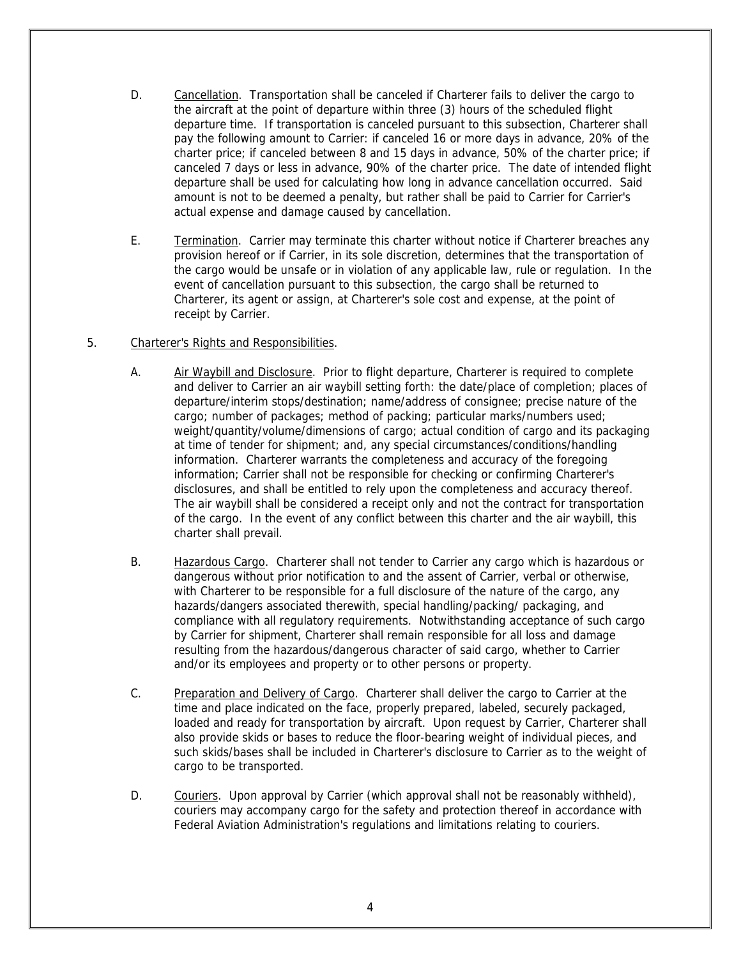- D. Cancellation. Transportation shall be canceled if Charterer fails to deliver the cargo to the aircraft at the point of departure within three (3) hours of the scheduled flight departure time. If transportation is canceled pursuant to this subsection, Charterer shall pay the following amount to Carrier: if canceled 16 or more days in advance, 20% of the charter price; if canceled between 8 and 15 days in advance, 50% of the charter price; if canceled 7 days or less in advance, 90% of the charter price. The date of intended flight departure shall be used for calculating how long in advance cancellation occurred. Said amount is not to be deemed a penalty, but rather shall be paid to Carrier for Carrier's actual expense and damage caused by cancellation.
- E. Termination. Carrier may terminate this charter without notice if Charterer breaches any provision hereof or if Carrier, in its sole discretion, determines that the transportation of the cargo would be unsafe or in violation of any applicable law, rule or regulation. In the event of cancellation pursuant to this subsection, the cargo shall be returned to Charterer, its agent or assign, at Charterer's sole cost and expense, at the point of receipt by Carrier.

## 5. Charterer's Rights and Responsibilities.

- A. Air Waybill and Disclosure. Prior to flight departure, Charterer is required to complete and deliver to Carrier an air waybill setting forth: the date/place of completion; places of departure/interim stops/destination; name/address of consignee; precise nature of the cargo; number of packages; method of packing; particular marks/numbers used; weight/quantity/volume/dimensions of cargo; actual condition of cargo and its packaging at time of tender for shipment; and, any special circumstances/conditions/handling information. Charterer warrants the completeness and accuracy of the foregoing information; Carrier shall not be responsible for checking or confirming Charterer's disclosures, and shall be entitled to rely upon the completeness and accuracy thereof. The air waybill shall be considered a receipt only and not the contract for transportation of the cargo. In the event of any conflict between this charter and the air waybill, this charter shall prevail.
- B. Hazardous Cargo. Charterer shall not tender to Carrier any cargo which is hazardous or dangerous without prior notification to and the assent of Carrier, verbal or otherwise, with Charterer to be responsible for a full disclosure of the nature of the cargo, any hazards/dangers associated therewith, special handling/packing/ packaging, and compliance with all regulatory requirements. Notwithstanding acceptance of such cargo by Carrier for shipment, Charterer shall remain responsible for all loss and damage resulting from the hazardous/dangerous character of said cargo, whether to Carrier and/or its employees and property or to other persons or property.
- C. Preparation and Delivery of Cargo. Charterer shall deliver the cargo to Carrier at the time and place indicated on the face, properly prepared, labeled, securely packaged, loaded and ready for transportation by aircraft. Upon request by Carrier, Charterer shall also provide skids or bases to reduce the floor-bearing weight of individual pieces, and such skids/bases shall be included in Charterer's disclosure to Carrier as to the weight of cargo to be transported.
- D. Couriers. Upon approval by Carrier (which approval shall not be reasonably withheld), couriers may accompany cargo for the safety and protection thereof in accordance with Federal Aviation Administration's regulations and limitations relating to couriers.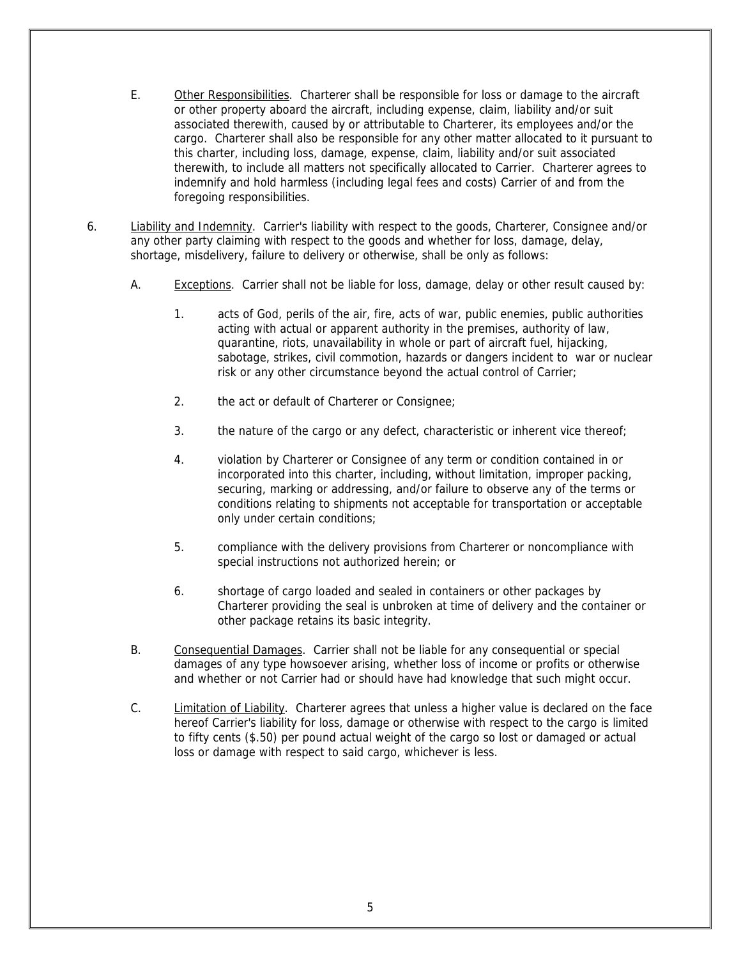- E. Other Responsibilities. Charterer shall be responsible for loss or damage to the aircraft or other property aboard the aircraft, including expense, claim, liability and/or suit associated therewith, caused by or attributable to Charterer, its employees and/or the cargo. Charterer shall also be responsible for any other matter allocated to it pursuant to this charter, including loss, damage, expense, claim, liability and/or suit associated therewith, to include all matters not specifically allocated to Carrier. Charterer agrees to indemnify and hold harmless (including legal fees and costs) Carrier of and from the foregoing responsibilities.
- 6. Liability and Indemnity. Carrier's liability with respect to the goods, Charterer, Consignee and/or any other party claiming with respect to the goods and whether for loss, damage, delay, shortage, misdelivery, failure to delivery or otherwise, shall be only as follows:
	- A. Exceptions. Carrier shall not be liable for loss, damage, delay or other result caused by:
		- 1. acts of God, perils of the air, fire, acts of war, public enemies, public authorities acting with actual or apparent authority in the premises, authority of law, quarantine, riots, unavailability in whole or part of aircraft fuel, hijacking, sabotage, strikes, civil commotion, hazards or dangers incident to war or nuclear risk or any other circumstance beyond the actual control of Carrier;
		- 2. the act or default of Charterer or Consignee;
		- 3. the nature of the cargo or any defect, characteristic or inherent vice thereof;
		- 4. violation by Charterer or Consignee of any term or condition contained in or incorporated into this charter, including, without limitation, improper packing, securing, marking or addressing, and/or failure to observe any of the terms or conditions relating to shipments not acceptable for transportation or acceptable only under certain conditions;
		- 5. compliance with the delivery provisions from Charterer or noncompliance with special instructions not authorized herein; or
		- 6. shortage of cargo loaded and sealed in containers or other packages by Charterer providing the seal is unbroken at time of delivery and the container or other package retains its basic integrity.
	- B. Consequential Damages. Carrier shall not be liable for any consequential or special damages of any type howsoever arising, whether loss of income or profits or otherwise and whether or not Carrier had or should have had knowledge that such might occur.
	- C. Limitation of Liability. Charterer agrees that unless a higher value is declared on the face hereof Carrier's liability for loss, damage or otherwise with respect to the cargo is limited to fifty cents (\$.50) per pound actual weight of the cargo so lost or damaged or actual loss or damage with respect to said cargo, whichever is less.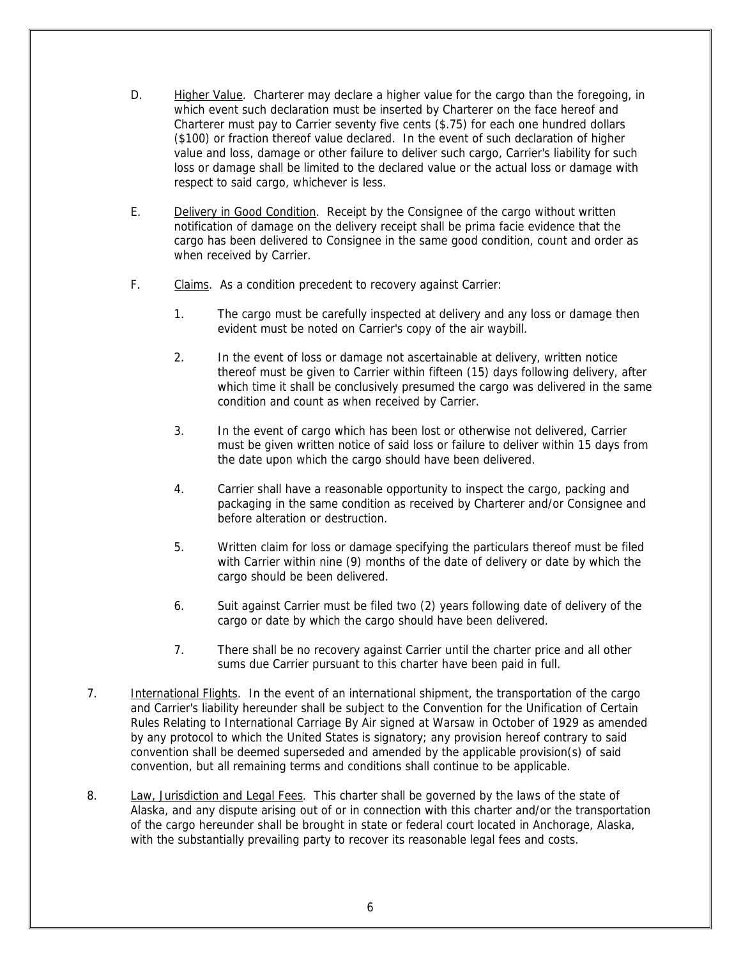- D. Higher Value. Charterer may declare a higher value for the cargo than the foregoing, in which event such declaration must be inserted by Charterer on the face hereof and Charterer must pay to Carrier seventy five cents (\$.75) for each one hundred dollars (\$100) or fraction thereof value declared. In the event of such declaration of higher value and loss, damage or other failure to deliver such cargo, Carrier's liability for such loss or damage shall be limited to the declared value or the actual loss or damage with respect to said cargo, whichever is less.
- E. Delivery in Good Condition. Receipt by the Consignee of the cargo without written notification of damage on the delivery receipt shall be prima facie evidence that the cargo has been delivered to Consignee in the same good condition, count and order as when received by Carrier.
- F. Claims. As a condition precedent to recovery against Carrier:
	- 1. The cargo must be carefully inspected at delivery and any loss or damage then evident must be noted on Carrier's copy of the air waybill.
	- 2. In the event of loss or damage not ascertainable at delivery, written notice thereof must be given to Carrier within fifteen (15) days following delivery, after which time it shall be conclusively presumed the cargo was delivered in the same condition and count as when received by Carrier.
	- 3. In the event of cargo which has been lost or otherwise not delivered, Carrier must be given written notice of said loss or failure to deliver within 15 days from the date upon which the cargo should have been delivered.
	- 4. Carrier shall have a reasonable opportunity to inspect the cargo, packing and packaging in the same condition as received by Charterer and/or Consignee and before alteration or destruction.
	- 5. Written claim for loss or damage specifying the particulars thereof must be filed with Carrier within nine (9) months of the date of delivery or date by which the cargo should be been delivered.
	- 6. Suit against Carrier must be filed two (2) years following date of delivery of the cargo or date by which the cargo should have been delivered.
	- 7. There shall be no recovery against Carrier until the charter price and all other sums due Carrier pursuant to this charter have been paid in full.
- 7. International Flights. In the event of an international shipment, the transportation of the cargo and Carrier's liability hereunder shall be subject to the Convention for the Unification of Certain Rules Relating to International Carriage By Air signed at Warsaw in October of 1929 as amended by any protocol to which the United States is signatory; any provision hereof contrary to said convention shall be deemed superseded and amended by the applicable provision(s) of said convention, but all remaining terms and conditions shall continue to be applicable.
- 8. Law, Jurisdiction and Legal Fees. This charter shall be governed by the laws of the state of Alaska, and any dispute arising out of or in connection with this charter and/or the transportation of the cargo hereunder shall be brought in state or federal court located in Anchorage, Alaska, with the substantially prevailing party to recover its reasonable legal fees and costs.